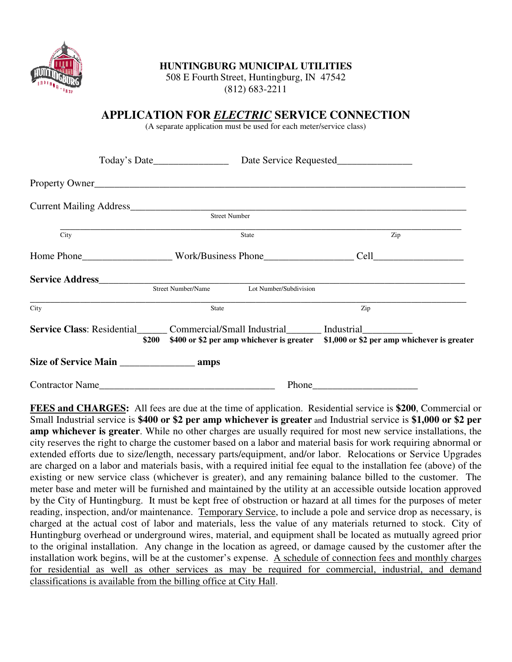

## **HUNTINGBURG MUNICIPAL UTILITIES**

508 E Fourth Street, Huntingburg, IN 47542 (812) 683-2211

## **APPLICATION FOR** *ELECTRIC* **SERVICE CONNECTION**

(A separate application must be used for each meter/service class)

|                    | Street Number                                                                                                                                                               |     |
|--------------------|-----------------------------------------------------------------------------------------------------------------------------------------------------------------------------|-----|
| $\overline{C}$ ity | State                                                                                                                                                                       | Zip |
|                    |                                                                                                                                                                             |     |
|                    | Street Number/Name<br>Lot Number/Subdivision                                                                                                                                |     |
| City               | State                                                                                                                                                                       | Zip |
|                    | Service Class: Residential Commercial/Small Industrial Industrial Industrial<br>\$200 \$400 or \$2 per amp whichever is greater \$1,000 or \$2 per amp whichever is greater |     |
|                    |                                                                                                                                                                             |     |
| Contractor Name    | Phone                                                                                                                                                                       |     |

**FEES and CHARGES:** All fees are due at the time of application. Residential service is **\$200**, Commercial or Small Industrial service is **\$400 or \$2 per amp whichever is greater** and Industrial service is **\$1,000 or \$2 per amp whichever is greater**. While no other charges are usually required for most new service installations, the city reserves the right to charge the customer based on a labor and material basis for work requiring abnormal or extended efforts due to size/length, necessary parts/equipment, and/or labor. Relocations or Service Upgrades are charged on a labor and materials basis, with a required initial fee equal to the installation fee (above) of the existing or new service class (whichever is greater), and any remaining balance billed to the customer. The meter base and meter will be furnished and maintained by the utility at an accessible outside location approved by the City of Huntingburg. It must be kept free of obstruction or hazard at all times for the purposes of meter reading, inspection, and/or maintenance. Temporary Service, to include a pole and service drop as necessary, is charged at the actual cost of labor and materials, less the value of any materials returned to stock. City of Huntingburg overhead or underground wires, material, and equipment shall be located as mutually agreed prior to the original installation. Any change in the location as agreed, or damage caused by the customer after the installation work begins, will be at the customer's expense. A schedule of connection fees and monthly charges for residential as well as other services as may be required for commercial, industrial, and demand classifications is available from the billing office at City Hall.